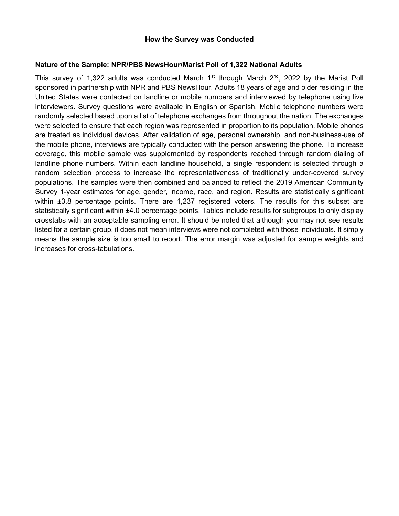# **Nature of the Sample: NPR/PBS NewsHour/Marist Poll of 1,322 National Adults**

This survey of 1,322 adults was conducted March  $1<sup>st</sup>$  through March  $2<sup>nd</sup>$ , 2022 by the Marist Poll sponsored in partnership with NPR and PBS NewsHour. Adults 18 years of age and older residing in the United States were contacted on landline or mobile numbers and interviewed by telephone using live interviewers. Survey questions were available in English or Spanish. Mobile telephone numbers were randomly selected based upon a list of telephone exchanges from throughout the nation. The exchanges were selected to ensure that each region was represented in proportion to its population. Mobile phones are treated as individual devices. After validation of age, personal ownership, and non-business-use of the mobile phone, interviews are typically conducted with the person answering the phone. To increase coverage, this mobile sample was supplemented by respondents reached through random dialing of landline phone numbers. Within each landline household, a single respondent is selected through a random selection process to increase the representativeness of traditionally under-covered survey populations. The samples were then combined and balanced to reflect the 2019 American Community Survey 1-year estimates for age, gender, income, race, and region. Results are statistically significant within ±3.8 percentage points. There are 1,237 registered voters. The results for this subset are statistically significant within ±4.0 percentage points. Tables include results for subgroups to only display crosstabs with an acceptable sampling error. It should be noted that although you may not see results listed for a certain group, it does not mean interviews were not completed with those individuals. It simply means the sample size is too small to report. The error margin was adjusted for sample weights and increases for cross-tabulations.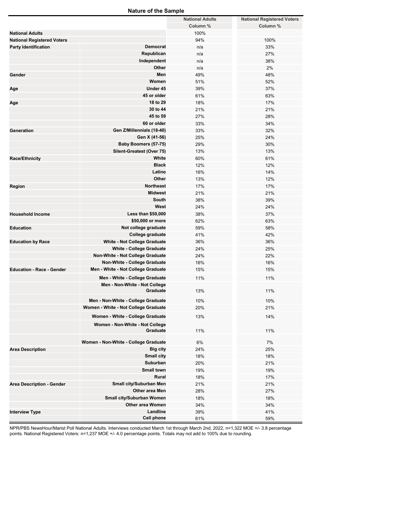|                                   | <b>Nature of the Sample</b>          |                        |                                   |
|-----------------------------------|--------------------------------------|------------------------|-----------------------------------|
|                                   |                                      | <b>National Adults</b> | <b>National Registered Voters</b> |
|                                   |                                      | Column %               | Column %                          |
| <b>National Adults</b>            |                                      | 100%                   |                                   |
| <b>National Registered Voters</b> |                                      | 94%                    | 100%                              |
| <b>Party Identification</b>       | Democrat                             | n/a                    | 33%                               |
|                                   | Republican                           | n/a                    | 27%                               |
|                                   | Independent                          | n/a                    | 38%                               |
|                                   | Other                                | n/a                    | 2%                                |
| Gender                            | Men                                  | 49%                    | 48%                               |
|                                   | Women                                | 51%                    | 52%                               |
| Age                               | Under 45                             | 39%                    | 37%                               |
|                                   | 45 or older                          | 61%                    | 63%                               |
|                                   | 18 to 29                             |                        |                                   |
| Age                               |                                      | 18%                    | 17%                               |
|                                   | 30 to 44                             | 21%                    | 21%                               |
|                                   | 45 to 59                             | 27%                    | 28%                               |
|                                   | 60 or older                          | 33%                    | 34%                               |
| Generation                        | Gen Z/Millennials (18-40)            | 33%                    | 32%                               |
|                                   | Gen X (41-56)                        | 25%                    | 24%                               |
|                                   | Baby Boomers (57-75)                 | 29%                    | 30%                               |
|                                   | Silent-Greatest (Over 75)            | 13%                    | 13%                               |
| Race/Ethnicity                    | White                                | 60%                    | 61%                               |
|                                   | <b>Black</b>                         | 12%                    | 12%                               |
|                                   | Latino                               | 16%                    | 14%                               |
|                                   | Other                                | 13%                    | 12%                               |
| Region                            | <b>Northeast</b>                     | 17%                    | 17%                               |
|                                   | <b>Midwest</b>                       | 21%                    | 21%                               |
|                                   | South                                | 38%                    | 39%                               |
|                                   | West                                 | 24%                    | 24%                               |
| <b>Household Income</b>           | <b>Less than \$50,000</b>            | 38%                    | 37%                               |
|                                   | \$50,000 or more                     | 62%                    | 63%                               |
| <b>Education</b>                  | Not college graduate                 | 59%                    | 58%                               |
|                                   | College graduate                     | 41%                    | 42%                               |
| <b>Education by Race</b>          | <b>White - Not College Graduate</b>  | 36%                    | 36%                               |
|                                   | <b>White - College Graduate</b>      | 24%                    | 25%                               |
|                                   | Non-White - Not College Graduate     | 24%                    | 22%                               |
|                                   | Non-White - College Graduate         | 16%                    | 16%                               |
| <b>Education - Race - Gender</b>  |                                      |                        |                                   |
|                                   | Men - White - Not College Graduate   | 15%                    | 15%                               |
|                                   | Men - White - College Graduate       | 11%                    | 11%                               |
|                                   | Men - Non-White - Not College        |                        |                                   |
|                                   | Graduate                             | 13%                    | 11%                               |
|                                   | Men - Non-White - College Graduate   | 10%                    | 10%                               |
|                                   | Women - White - Not College Graduate | 20%                    | 21%                               |
|                                   | Women - White - College Graduate     | 13%                    | 14%                               |
|                                   |                                      |                        |                                   |
|                                   | Women - Non-White - Not College      |                        |                                   |
|                                   | Graduate                             | 11%                    | 11%                               |
|                                   | Women - Non-White - College Graduate | 6%                     | 7%                                |
| <b>Area Description</b>           | <b>Big city</b>                      | 24%                    | 25%                               |
|                                   | Small city                           | 18%                    | 18%                               |
|                                   | Suburban                             | 20%                    | 21%                               |
|                                   | <b>Small town</b>                    |                        |                                   |
|                                   |                                      | 19%                    | 19%                               |
|                                   | Rural                                | 18%                    | 17%                               |
| <b>Area Description - Gender</b>  | Small city/Suburban Men              | 21%                    | 21%                               |
|                                   | Other area Men                       | 28%                    | 27%                               |
|                                   | Small city/Suburban Women            | 18%                    | 18%                               |
|                                   | <b>Other area Women</b>              | 34%                    | 34%                               |
| <b>Interview Type</b>             | Landline                             | 39%                    | 41%                               |
|                                   | <b>Cell phone</b>                    | 61%                    | 59%                               |

NPR/PBS NewsHour/Marist Poll National Adults. Interviews conducted March 1st through March 2nd, 2022, n=1,322 MOE +/- 3.8 percentage points. National Registered Voters: n=1,237 MOE +/- 4.0 percentage points. Totals may not add to 100% due to rounding.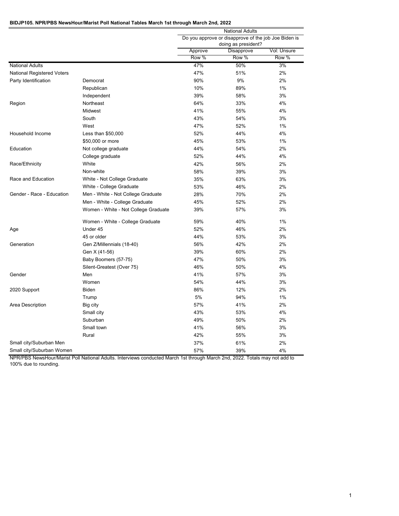# **BIDJP105. NPR/PBS NewsHour/Marist Poll National Tables March 1st through March 2nd, 2022**

|                            |                                      | <b>National Adults</b> |                                                      |             |  |
|----------------------------|--------------------------------------|------------------------|------------------------------------------------------|-------------|--|
|                            |                                      |                        | Do you approve or disapprove of the job Joe Biden is |             |  |
|                            |                                      |                        | doing as president?                                  |             |  |
|                            |                                      | Approve                | Disapprove                                           | Vol: Unsure |  |
|                            |                                      | Row %                  | Row %                                                | Row %       |  |
| <b>National Adults</b>     |                                      | 47%                    | 50%                                                  | 3%          |  |
| National Registered Voters |                                      | 47%                    | 51%                                                  | 2%          |  |
| Party Identification       | Democrat                             | 90%                    | 9%                                                   | 2%          |  |
|                            | Republican                           | 10%                    | 89%                                                  | 1%          |  |
|                            | Independent                          | 39%                    | 58%                                                  | 3%          |  |
| Region                     | Northeast                            | 64%                    | 33%                                                  | 4%          |  |
|                            | Midwest                              | 41%                    | 55%                                                  | 4%          |  |
|                            | South                                | 43%                    | 54%                                                  | 3%          |  |
|                            | West                                 | 47%                    | 52%                                                  | 1%          |  |
| Household Income           | Less than \$50,000                   | 52%                    | 44%                                                  | 4%          |  |
|                            | \$50,000 or more                     | 45%                    | 53%                                                  | 1%          |  |
| Education                  | Not college graduate                 | 44%                    | 54%                                                  | 2%          |  |
|                            | College graduate                     | 52%                    | 44%                                                  | 4%          |  |
| Race/Ethnicity             | White                                | 42%                    | 56%                                                  | 2%          |  |
|                            | Non-white                            | 58%                    | 39%                                                  | 3%          |  |
| Race and Education         | White - Not College Graduate         | 35%                    | 63%                                                  | 3%          |  |
|                            | White - College Graduate             | 53%                    | 46%                                                  | 2%          |  |
| Gender - Race - Education  | Men - White - Not College Graduate   | 28%                    | 70%                                                  | 2%          |  |
|                            | Men - White - College Graduate       | 45%                    | 52%                                                  | 2%          |  |
|                            | Women - White - Not College Graduate | 39%                    | 57%                                                  | 3%          |  |
|                            | Women - White - College Graduate     | 59%                    | 40%                                                  | 1%          |  |
| Age                        | Under 45                             | 52%                    | 46%                                                  | 2%          |  |
|                            | 45 or older                          | 44%                    | 53%                                                  | 3%          |  |
| Generation                 | Gen Z/Millennials (18-40)            | 56%                    | 42%                                                  | 2%          |  |
|                            | Gen X (41-56)                        | 39%                    | 60%                                                  | 2%          |  |
|                            | Baby Boomers (57-75)                 | 47%                    | 50%                                                  | 3%          |  |
|                            | Silent-Greatest (Over 75)            | 46%                    | 50%                                                  | 4%          |  |
| Gender                     | Men                                  | 41%                    | 57%                                                  | 3%          |  |
|                            | Women                                | 54%                    | 44%                                                  | 3%          |  |
| 2020 Support               | <b>Biden</b>                         | 86%                    | 12%                                                  | 2%          |  |
|                            | Trump                                | 5%                     | 94%                                                  | 1%          |  |
| Area Description           | Big city                             | 57%                    | 41%                                                  | 2%          |  |
|                            | Small city                           | 43%                    | 53%                                                  | 4%          |  |
|                            | Suburban                             | 49%                    | 50%                                                  | 2%          |  |
|                            | Small town                           | 41%                    | 56%                                                  | 3%          |  |
|                            | Rural                                | 42%                    | 55%                                                  | 3%          |  |
| Small city/Suburban Men    |                                      | 37%                    | 61%                                                  | 2%          |  |
| Small city/Suburban Women  |                                      | 57%                    | 39%                                                  | 4%          |  |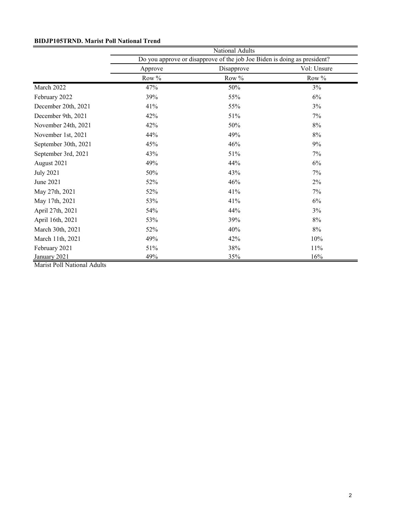| <b>BIDJP105TRND. Marist Poll National Trend</b> |  |  |  |
|-------------------------------------------------|--|--|--|
|-------------------------------------------------|--|--|--|

|                      | National Adults                                                          |            |             |  |  |
|----------------------|--------------------------------------------------------------------------|------------|-------------|--|--|
|                      | Do you approve or disapprove of the job Joe Biden is doing as president? |            |             |  |  |
|                      | Approve                                                                  | Disapprove | Vol: Unsure |  |  |
|                      | Row %                                                                    | Row %      | Row %       |  |  |
| March 2022           | 47%                                                                      | 50%        | 3%          |  |  |
| February 2022        | 39%                                                                      | 55%        | 6%          |  |  |
| December 20th, 2021  | 41%                                                                      | 55%        | 3%          |  |  |
| December 9th, 2021   | 42%                                                                      | 51%        | 7%          |  |  |
| November 24th, 2021  | 42%                                                                      | 50%        | 8%          |  |  |
| November 1st, 2021   | 44%                                                                      | 49%        | 8%          |  |  |
| September 30th, 2021 | 45%                                                                      | 46%        | 9%          |  |  |
| September 3rd, 2021  | 43%                                                                      | 51%        | 7%          |  |  |
| August 2021          | 49%                                                                      | 44%        | 6%          |  |  |
| <b>July 2021</b>     | 50%                                                                      | 43%        | 7%          |  |  |
| June 2021            | 52%                                                                      | 46%        | 2%          |  |  |
| May 27th, 2021       | 52%                                                                      | 41%        | 7%          |  |  |
| May 17th, 2021       | 53%                                                                      | 41%        | 6%          |  |  |
| April 27th, 2021     | 54%                                                                      | 44%        | 3%          |  |  |
| April 16th, 2021     | 53%                                                                      | 39%        | 8%          |  |  |
| March 30th, 2021     | 52%                                                                      | 40%        | 8%          |  |  |
| March 11th, 2021     | 49%                                                                      | 42%        | 10%         |  |  |
| February 2021        | 51%                                                                      | 38%        | 11%         |  |  |
| January 2021         | 49%                                                                      | 35%        | 16%         |  |  |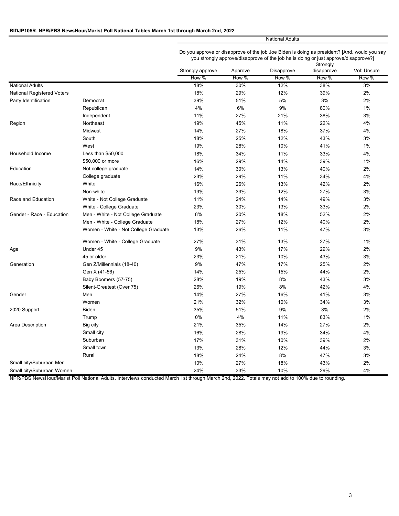## **BIDJP105R. NPR/PBS NewsHour/Marist Poll National Tables March 1st through March 2nd, 2022**

National Adults

Do you approve or disapprove of the job Joe Biden is doing as president? [And, would you say you strongly approve/disapprove of the job he is doing or just approve/disapprove?]

|                            |                                      |                  |         |            | Strongly   |             |
|----------------------------|--------------------------------------|------------------|---------|------------|------------|-------------|
|                            |                                      | Strongly approve | Approve | Disapprove | disapprove | Vol: Unsure |
|                            |                                      | Row %            | Row %   | Row %      | Row %      | Row %       |
| <b>National Adults</b>     |                                      | 18%              | 30%     | 12%        | 38%        | 3%          |
| National Registered Voters |                                      | 18%              | 29%     | 12%        | 39%        | 2%          |
| Party Identification       | Democrat                             | 39%              | 51%     | 5%         | 3%         | 2%          |
|                            | Republican                           | 4%               | 6%      | 9%         | 80%        | $1\%$       |
|                            | Independent                          | 11%              | 27%     | 21%        | 38%        | 3%          |
| Region                     | Northeast                            | 19%              | 45%     | 11%        | 22%        | 4%          |
|                            | Midwest                              | 14%              | 27%     | 18%        | 37%        | 4%          |
|                            | South                                | 18%              | 25%     | 12%        | 43%        | 3%          |
|                            | West                                 | 19%              | 28%     | 10%        | 41%        | $1\%$       |
| Household Income           | Less than \$50,000                   | 18%              | 34%     | 11%        | 33%        | 4%          |
|                            | \$50,000 or more                     | 16%              | 29%     | 14%        | 39%        | 1%          |
| Education                  | Not college graduate                 | 14%              | 30%     | 13%        | 40%        | 2%          |
|                            | College graduate                     | 23%              | 29%     | 11%        | 34%        | 4%          |
| Race/Ethnicity             | White                                | 16%              | 26%     | 13%        | 42%        | 2%          |
|                            | Non-white                            | 19%              | 39%     | 12%        | 27%        | 3%          |
| Race and Education         | White - Not College Graduate         | 11%              | 24%     | 14%        | 49%        | 3%          |
|                            | White - College Graduate             | 23%              | 30%     | 13%        | 33%        | 2%          |
| Gender - Race - Education  | Men - White - Not College Graduate   | 8%               | 20%     | 18%        | 52%        | 2%          |
|                            | Men - White - College Graduate       | 18%              | 27%     | 12%        | 40%        | 2%          |
|                            | Women - White - Not College Graduate | 13%              | 26%     | 11%        | 47%        | 3%          |
|                            | Women - White - College Graduate     | 27%              | 31%     | 13%        | 27%        | 1%          |
| Age                        | Under 45                             | 9%               | 43%     | 17%        | 29%        | 2%          |
|                            | 45 or older                          | 23%              | 21%     | 10%        | 43%        | 3%          |
| Generation                 | Gen Z/Millennials (18-40)            | 9%               | 47%     | 17%        | 25%        | 2%          |
|                            | Gen X (41-56)                        | 14%              | 25%     | 15%        | 44%        | 2%          |
|                            | Baby Boomers (57-75)                 | 28%              | 19%     | 8%         | 43%        | 3%          |
|                            | Silent-Greatest (Over 75)            | 26%              | 19%     | 8%         | 42%        | 4%          |
| Gender                     | Men                                  | 14%              | 27%     | 16%        | 41%        | 3%          |
|                            | Women                                | 21%              | 32%     | 10%        | 34%        | 3%          |
| 2020 Support               | Biden                                | 35%              | 51%     | 9%         | 3%         | 2%          |
|                            | Trump                                | 0%               | 4%      | 11%        | 83%        | 1%          |
| Area Description           | Big city                             | 21%              | 35%     | 14%        | 27%        | 2%          |
|                            | Small city                           | 16%              | 28%     | 19%        | 34%        | 4%          |
|                            | Suburban                             | 17%              | 31%     | 10%        | 39%        | 2%          |
|                            | Small town                           | 13%              | 28%     | 12%        | 44%        | 3%          |
|                            | Rural                                | 18%              | 24%     | 8%         | 47%        | 3%          |
| Small city/Suburban Men    |                                      | 10%              | 27%     | 18%        | 43%        | 2%          |
| Small city/Suburban Women  |                                      | 24%              | 33%     | 10%        | 29%        | 4%          |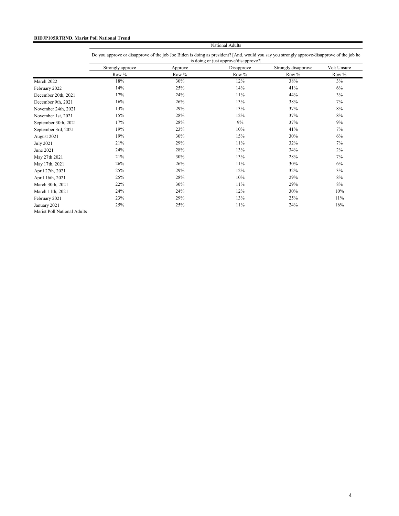# **BIDJP105RTRND. Marist Poll National Trend**

|                      | Do you approve or disapprove of the job Joe Biden is doing as president? And, would you say you strongly approve/disapprove of the job he |         |            |                     |             |  |
|----------------------|-------------------------------------------------------------------------------------------------------------------------------------------|---------|------------|---------------------|-------------|--|
|                      | is doing or just approve/disapprove?]                                                                                                     |         |            |                     |             |  |
|                      | Strongly approve                                                                                                                          | Approve | Disapprove | Strongly disapprove | Vol: Unsure |  |
|                      | Row %                                                                                                                                     | Row %   | Row %      | Row %               | Row $%$     |  |
| March 2022           | 18%                                                                                                                                       | 30%     | 12%        | 38%                 | 3%          |  |
| February 2022        | 14%                                                                                                                                       | 25%     | 14%        | 41%                 | 6%          |  |
| December 20th, 2021  | 17%                                                                                                                                       | 24%     | 11%        | 44%                 | 3%          |  |
| December 9th, 2021   | 16%                                                                                                                                       | 26%     | 13%        | 38%                 | 7%          |  |
| November 24th, 2021  | 13%                                                                                                                                       | 29%     | 13%        | 37%                 | 8%          |  |
| November 1st, 2021   | 15%                                                                                                                                       | 28%     | 12%        | 37%                 | 8%          |  |
| September 30th, 2021 | 17%                                                                                                                                       | 28%     | 9%         | 37%                 | 9%          |  |
| September 3rd, 2021  | 19%                                                                                                                                       | 23%     | 10%        | 41%                 | 7%          |  |
| August 2021          | 19%                                                                                                                                       | 30%     | 15%        | 30%                 | 6%          |  |
| July 2021            | 21%                                                                                                                                       | 29%     | 11%        | 32%                 | 7%          |  |
| June 2021            | 24%                                                                                                                                       | 28%     | 13%        | 34%                 | 2%          |  |
| May 27th 2021        | 21%                                                                                                                                       | 30%     | 13%        | 28%                 | 7%          |  |
| May 17th, 2021       | 26%                                                                                                                                       | 26%     | 11%        | 30%                 | 6%          |  |
| April 27th, 2021     | 25%                                                                                                                                       | 29%     | 12%        | 32%                 | 3%          |  |
| April 16th, 2021     | 25%                                                                                                                                       | 28%     | 10%        | 29%                 | 8%          |  |
| March 30th, 2021     | 22%                                                                                                                                       | 30%     | 11%        | 29%                 | $8\%$       |  |
| March 11th, 2021     | 24%                                                                                                                                       | 24%     | 12%        | 30%                 | 10%         |  |
| February 2021        | 23%                                                                                                                                       | 29%     | 13%        | 25%                 | 11%         |  |
| January 2021         | 25%                                                                                                                                       | 25%     | 11%        | 24%                 | 16%         |  |

National Adults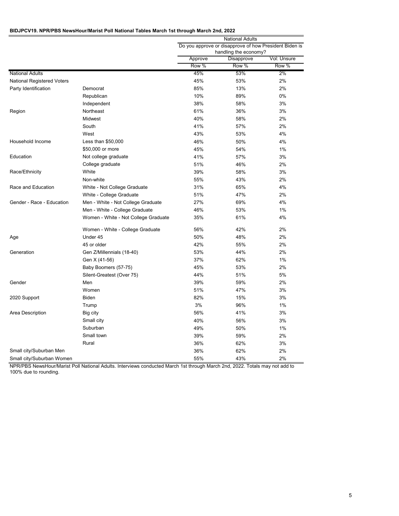#### **BIDJPCV19. NPR/PBS NewsHour/Marist Poll National Tables March 1st through March 2nd, 2022**

|                                   |                                      | <b>National Adults</b><br>Do you approve or disapprove of how President Biden is |                       |             |
|-----------------------------------|--------------------------------------|----------------------------------------------------------------------------------|-----------------------|-------------|
|                                   |                                      |                                                                                  |                       |             |
|                                   |                                      |                                                                                  | handling the economy? |             |
|                                   |                                      | Approve                                                                          | Disapprove            | Vol: Unsure |
|                                   |                                      | Row %                                                                            | Row %                 | Row %       |
| <b>National Adults</b>            |                                      | 45%                                                                              | 53%                   | 2%          |
| <b>National Registered Voters</b> |                                      | 45%                                                                              | 53%                   | 2%          |
| Party Identification              | Democrat                             | 85%                                                                              | 13%                   | 2%          |
|                                   | Republican                           | 10%                                                                              | 89%                   | 0%          |
|                                   | Independent                          | 38%                                                                              | 58%                   | 3%          |
| Region                            | Northeast                            | 61%                                                                              | 36%                   | 3%          |
|                                   | Midwest                              | 40%                                                                              | 58%                   | 2%          |
|                                   | South                                | 41%                                                                              | 57%                   | 2%          |
|                                   | West                                 | 43%                                                                              | 53%                   | 4%          |
| Household Income                  | Less than \$50,000                   | 46%                                                                              | 50%                   | 4%          |
|                                   | \$50,000 or more                     | 45%                                                                              | 54%                   | 1%          |
| Education                         | Not college graduate                 | 41%                                                                              | 57%                   | 3%          |
|                                   | College graduate                     | 51%                                                                              | 46%                   | 2%          |
| Race/Ethnicity                    | White                                | 39%                                                                              | 58%                   | 3%          |
|                                   | Non-white                            | 55%                                                                              | 43%                   | 2%          |
| Race and Education                | White - Not College Graduate         | 31%                                                                              | 65%                   | 4%          |
|                                   | White - College Graduate             | 51%                                                                              | 47%                   | 2%          |
| Gender - Race - Education         | Men - White - Not College Graduate   | 27%                                                                              | 69%                   | 4%          |
|                                   | Men - White - College Graduate       | 46%                                                                              | 53%                   | 1%          |
|                                   | Women - White - Not College Graduate | 35%                                                                              | 61%                   | 4%          |
|                                   | Women - White - College Graduate     | 56%                                                                              | 42%                   | 2%          |
| Age                               | Under 45                             | 50%                                                                              | 48%                   | 2%          |
|                                   | 45 or older                          | 42%                                                                              | 55%                   | 2%          |
| Generation                        | Gen Z/Millennials (18-40)            | 53%                                                                              | 44%                   | 2%          |
|                                   | Gen X (41-56)                        | 37%                                                                              | 62%                   | 1%          |
|                                   | Baby Boomers (57-75)                 | 45%                                                                              | 53%                   | 2%          |
|                                   | Silent-Greatest (Over 75)            | 44%                                                                              | 51%                   | 5%          |
| Gender                            | Men                                  | 39%                                                                              | 59%                   | 2%          |
|                                   | Women                                | 51%                                                                              | 47%                   | 3%          |
| 2020 Support                      | Biden                                | 82%                                                                              | 15%                   | 3%          |
|                                   | Trump                                | 3%                                                                               | 96%                   | 1%          |
| Area Description                  | Big city                             | 56%                                                                              | 41%                   | 3%          |
|                                   | Small city                           | 40%                                                                              | 56%                   | 3%          |
|                                   | Suburban                             | 49%                                                                              | 50%                   | 1%          |
|                                   | Small town                           | 39%                                                                              | 59%                   | 2%          |
|                                   | Rural                                | 36%                                                                              | 62%                   | 3%          |
| Small city/Suburban Men           |                                      | 36%                                                                              | 62%                   | 2%          |
| Small city/Suburban Women         |                                      | 55%                                                                              | 43%                   | 2%          |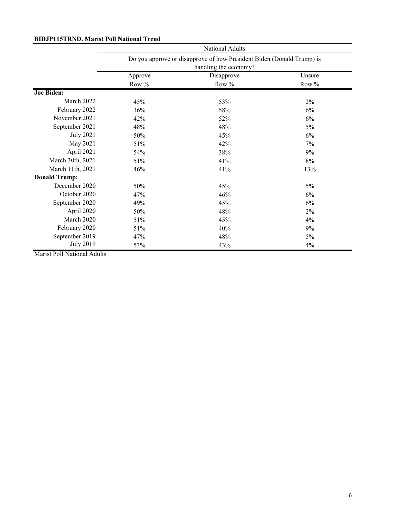# **BIDJP115TRND. Marist Poll National Trend**

|                      | National Adults                                                       |            |         |  |  |
|----------------------|-----------------------------------------------------------------------|------------|---------|--|--|
|                      | Do you approve or disapprove of how President Biden (Donald Trump) is |            |         |  |  |
|                      | handling the economy?                                                 |            |         |  |  |
|                      | Approve                                                               | Disapprove | Unsure  |  |  |
|                      | Row $%$                                                               | Row %      | Row $%$ |  |  |
| <b>Joe Biden:</b>    |                                                                       |            |         |  |  |
| March 2022           | 45%                                                                   | 53%        | $2\%$   |  |  |
| February 2022        | 36%                                                                   | 58%        | 6%      |  |  |
| November 2021        | 42%                                                                   | 52%        | 6%      |  |  |
| September 2021       | 48%                                                                   | 48%        | 5%      |  |  |
| <b>July 2021</b>     | 50%                                                                   | 45%        | 6%      |  |  |
| May 2021             | 51%                                                                   | 42%        | 7%      |  |  |
| April 2021           | 54%                                                                   | 38%        | 9%      |  |  |
| March 30th, 2021     | 51%                                                                   | 41%        | 8%      |  |  |
| March 11th, 2021     | 46%                                                                   | 41%        | 13%     |  |  |
| <b>Donald Trump:</b> |                                                                       |            |         |  |  |
| December 2020        | 50%                                                                   | 45%        | $5\%$   |  |  |
| October 2020         | 47%                                                                   | 46%        | 6%      |  |  |
| September 2020       | 49%                                                                   | 45%        | 6%      |  |  |
| April 2020           | 50%                                                                   | 48%        | 2%      |  |  |
| March 2020           | 51%                                                                   | 45%        | 4%      |  |  |
| February 2020        | 51%                                                                   | 40%        | 9%      |  |  |
| September 2019       | 47%                                                                   | 48%        | $5\%$   |  |  |
| <b>July 2019</b>     | 53%                                                                   | 43%        | 4%      |  |  |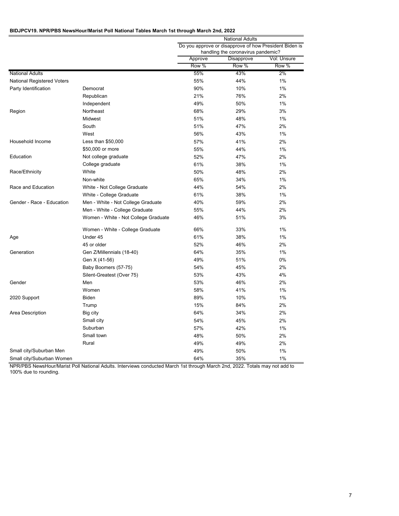#### **BIDJPCV19. NPR/PBS NewsHour/Marist Poll National Tables March 1st through March 2nd, 2022**

|                                   |                                      | <b>National Adults</b><br>Do you approve or disapprove of how President Biden is |                                    |             |
|-----------------------------------|--------------------------------------|----------------------------------------------------------------------------------|------------------------------------|-------------|
|                                   |                                      |                                                                                  |                                    |             |
|                                   |                                      |                                                                                  | handling the coronavirus pandemic? |             |
|                                   |                                      | Approve                                                                          | Disapprove                         | Vol: Unsure |
|                                   |                                      | Row %                                                                            | Row %                              | Row %       |
| <b>National Adults</b>            |                                      | 55%                                                                              | 43%                                | 2%          |
| <b>National Registered Voters</b> |                                      | 55%                                                                              | 44%                                | 1%          |
| Party Identification              | Democrat                             | 90%                                                                              | 10%                                | 1%          |
|                                   | Republican                           | 21%                                                                              | 76%                                | 2%          |
|                                   | Independent                          | 49%                                                                              | 50%                                | 1%          |
| Region                            | Northeast                            | 68%                                                                              | 29%                                | 3%          |
|                                   | <b>Midwest</b>                       | 51%                                                                              | 48%                                | 1%          |
|                                   | South                                | 51%                                                                              | 47%                                | 2%          |
|                                   | West                                 | 56%                                                                              | 43%                                | 1%          |
| Household Income                  | Less than \$50,000                   | 57%                                                                              | 41%                                | 2%          |
|                                   | \$50,000 or more                     | 55%                                                                              | 44%                                | 1%          |
| Education                         | Not college graduate                 | 52%                                                                              | 47%                                | 2%          |
|                                   | College graduate                     | 61%                                                                              | 38%                                | 1%          |
| Race/Ethnicity                    | White                                | 50%                                                                              | 48%                                | 2%          |
|                                   | Non-white                            | 65%                                                                              | 34%                                | 1%          |
| Race and Education                | White - Not College Graduate         | 44%                                                                              | 54%                                | 2%          |
|                                   | White - College Graduate             | 61%                                                                              | 38%                                | 1%          |
| Gender - Race - Education         | Men - White - Not College Graduate   | 40%                                                                              | 59%                                | 2%          |
|                                   | Men - White - College Graduate       | 55%                                                                              | 44%                                | 2%          |
|                                   | Women - White - Not College Graduate | 46%                                                                              | 51%                                | 3%          |
|                                   | Women - White - College Graduate     | 66%                                                                              | 33%                                | 1%          |
| Age                               | Under 45                             | 61%                                                                              | 38%                                | 1%          |
|                                   | 45 or older                          | 52%                                                                              | 46%                                | 2%          |
| Generation                        | Gen Z/Millennials (18-40)            | 64%                                                                              | 35%                                | 1%          |
|                                   | Gen X (41-56)                        | 49%                                                                              | 51%                                | $0\%$       |
|                                   | Baby Boomers (57-75)                 | 54%                                                                              | 45%                                | 2%          |
|                                   | Silent-Greatest (Over 75)            | 53%                                                                              | 43%                                | 4%          |
| Gender                            | Men                                  | 53%                                                                              | 46%                                | 2%          |
|                                   | Women                                | 58%                                                                              | 41%                                | 1%          |
| 2020 Support                      | <b>Biden</b>                         | 89%                                                                              | 10%                                | 1%          |
|                                   | Trump                                | 15%                                                                              | 84%                                | 2%          |
| Area Description                  | Big city                             | 64%                                                                              | 34%                                | 2%          |
|                                   | Small city                           | 54%                                                                              | 45%                                | 2%          |
|                                   | Suburban                             | 57%                                                                              | 42%                                | 1%          |
|                                   | Small town                           | 48%                                                                              | 50%                                | 2%          |
|                                   | Rural                                | 49%                                                                              | 49%                                | 2%          |
| Small city/Suburban Men           |                                      | 49%                                                                              | 50%                                | 1%          |
| Small city/Suburban Women         |                                      | 64%                                                                              | 35%                                | 1%          |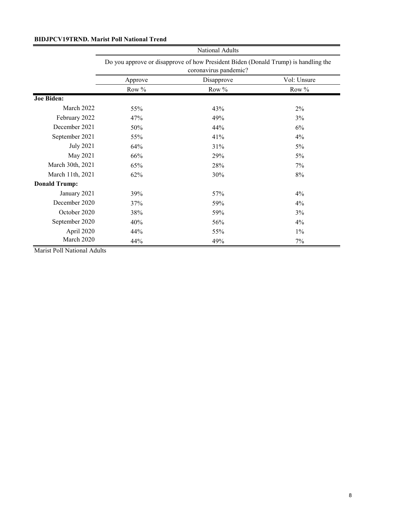# **BIDJPCV19TRND. Marist Poll National Trend**

|                      | National Adults<br>Do you approve or disapprove of how President Biden (Donald Trump) is handling the<br>coronavirus pandemic? |       |             |  |
|----------------------|--------------------------------------------------------------------------------------------------------------------------------|-------|-------------|--|
|                      |                                                                                                                                |       |             |  |
|                      | Disapprove<br>Approve                                                                                                          |       | Vol: Unsure |  |
|                      | Row %                                                                                                                          | Row % | Row %       |  |
| <b>Joe Biden:</b>    |                                                                                                                                |       |             |  |
| March 2022           | 55%                                                                                                                            | 43%   | 2%          |  |
| February 2022        | 47%                                                                                                                            | 49%   | 3%          |  |
| December 2021        | 50%                                                                                                                            | 44%   | 6%          |  |
| September 2021       | 55%                                                                                                                            | 41%   | 4%          |  |
| <b>July 2021</b>     | 64%                                                                                                                            | 31%   | 5%          |  |
| May 2021             | 66%                                                                                                                            | 29%   | $5\%$       |  |
| March 30th, 2021     | 65%                                                                                                                            | 28%   | 7%          |  |
| March 11th, 2021     | 62%                                                                                                                            | 30%   | 8%          |  |
| <b>Donald Trump:</b> |                                                                                                                                |       |             |  |
| January 2021         | 39%                                                                                                                            | 57%   | 4%          |  |
| December 2020        | 37%                                                                                                                            | 59%   | 4%          |  |
| October 2020         | 38%                                                                                                                            | 59%   | 3%          |  |
| September 2020       | 40%                                                                                                                            | 56%   | $4\%$       |  |
| April 2020           | 44%                                                                                                                            | 55%   | $1\%$       |  |
| March 2020           | 44%                                                                                                                            | 49%   | 7%          |  |

Marist Poll National Adults

<u> 1980 - Jan Barat, martin a</u>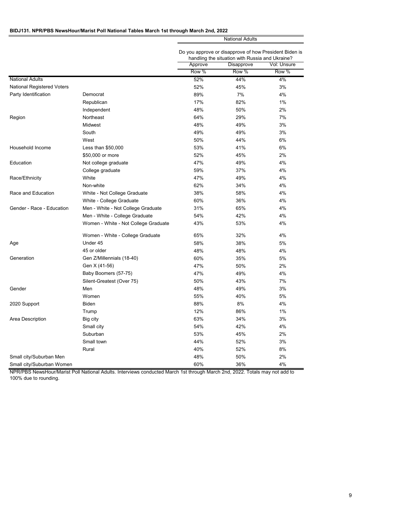## **BIDJ131. NPR/PBS NewsHour/Marist Poll National Tables March 1st through March 2nd, 2022**

|                            |                                      | <b>National Adults</b><br>Do you approve or disapprove of how President Biden is<br>handling the situation with Russia and Ukraine? |            |             |
|----------------------------|--------------------------------------|-------------------------------------------------------------------------------------------------------------------------------------|------------|-------------|
|                            |                                      |                                                                                                                                     |            |             |
|                            |                                      | Approve                                                                                                                             | Disapprove | Vol: Unsure |
|                            |                                      | Row %                                                                                                                               | Row %      | Row %       |
| <b>National Adults</b>     |                                      | 52%                                                                                                                                 | 44%        | 4%          |
| National Registered Voters |                                      | 52%                                                                                                                                 | 45%        | 3%          |
| Party Identification       | Democrat                             | 89%                                                                                                                                 | 7%         | 4%          |
|                            | Republican                           | 17%                                                                                                                                 | 82%        | 1%          |
|                            | Independent                          | 48%                                                                                                                                 | 50%        | 2%          |
| Region                     | Northeast                            | 64%                                                                                                                                 | 29%        | 7%          |
|                            | Midwest                              | 48%                                                                                                                                 | 49%        | 3%          |
|                            | South                                | 49%                                                                                                                                 | 49%        | 3%          |
|                            | West                                 | 50%                                                                                                                                 | 44%        | 6%          |
| Household Income           | Less than \$50,000                   | 53%                                                                                                                                 | 41%        | 6%          |
|                            | \$50,000 or more                     | 52%                                                                                                                                 | 45%        | 2%          |
| Education                  | Not college graduate                 | 47%                                                                                                                                 | 49%        | 4%          |
|                            | College graduate                     | 59%                                                                                                                                 | 37%        | 4%          |
| Race/Ethnicity             | White                                | 47%                                                                                                                                 | 49%        | 4%          |
|                            | Non-white                            | 62%                                                                                                                                 | 34%        | 4%          |
| Race and Education         | White - Not College Graduate         | 38%                                                                                                                                 | 58%        | 4%          |
|                            | White - College Graduate             | 60%                                                                                                                                 | 36%        | 4%          |
| Gender - Race - Education  | Men - White - Not College Graduate   | 31%                                                                                                                                 | 65%        | 4%          |
|                            | Men - White - College Graduate       | 54%                                                                                                                                 | 42%        | 4%          |
|                            | Women - White - Not College Graduate | 43%                                                                                                                                 | 53%        | 4%          |
|                            | Women - White - College Graduate     | 65%                                                                                                                                 | 32%        | 4%          |
| Age                        | Under 45                             | 58%                                                                                                                                 | 38%        | 5%          |
|                            | 45 or older                          | 48%                                                                                                                                 | 48%        | 4%          |
| Generation                 | Gen Z/Millennials (18-40)            | 60%                                                                                                                                 | 35%        | 5%          |
|                            | Gen X (41-56)                        | 47%                                                                                                                                 | 50%        | 2%          |
|                            | Baby Boomers (57-75)                 | 47%                                                                                                                                 | 49%        | 4%          |
|                            | Silent-Greatest (Over 75)            | 50%                                                                                                                                 | 43%        | 7%          |
| Gender                     | Men                                  | 48%                                                                                                                                 | 49%        | 3%          |
|                            | Women                                | 55%                                                                                                                                 | 40%        | 5%          |
| 2020 Support               | <b>Biden</b>                         | 88%                                                                                                                                 | 8%         | 4%          |
|                            | Trump                                | 12%                                                                                                                                 | 86%        | 1%          |
| Area Description           | Big city                             | 63%                                                                                                                                 | 34%        | 3%          |
|                            | Small city                           | 54%                                                                                                                                 | 42%        | 4%          |
|                            | Suburban                             | 53%                                                                                                                                 | 45%        | 2%          |
|                            | Small town                           | 44%                                                                                                                                 | 52%        | 3%          |
|                            | Rural                                | 40%                                                                                                                                 | 52%        | 8%          |
| Small city/Suburban Men    |                                      | 48%                                                                                                                                 | 50%        | 2%          |
| Small city/Suburban Women  |                                      | 60%                                                                                                                                 | 36%        | 4%          |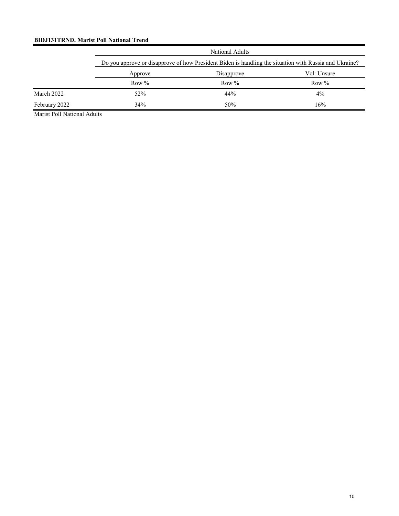# **BIDJ131TRND. Marist Poll National Trend**

|               |         | National Adults                                                                                        |          |  |  |  |
|---------------|---------|--------------------------------------------------------------------------------------------------------|----------|--|--|--|
|               |         | Do you approve or disapprove of how President Biden is handling the situation with Russia and Ukraine? |          |  |  |  |
|               | Approve | Vol: Unsure<br>Disapprove                                                                              |          |  |  |  |
|               | Row $%$ | Row $%$                                                                                                | Row $\%$ |  |  |  |
| March 2022    | 52%     | 44%                                                                                                    | $4\%$    |  |  |  |
| February 2022 | 34%     | 50%                                                                                                    | 16%      |  |  |  |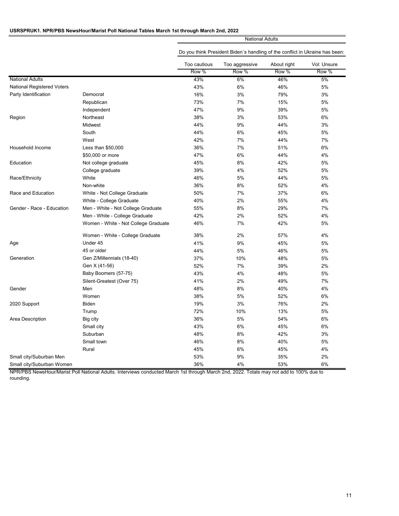## **USRSPRUK1. NPR/PBS NewsHour/Marist Poll National Tables March 1st through March 2nd, 2022**

National Adults

|                            |                                      | Too cautious     | Too aggressive | About right | Vol: Unsure |
|----------------------------|--------------------------------------|------------------|----------------|-------------|-------------|
|                            |                                      | Row <sup>%</sup> | Row %          | Row %       | Row %       |
| <b>National Adults</b>     |                                      | 43%              | 6%             | 46%         | 5%          |
| National Registered Voters |                                      | 43%              | 6%             | 46%         | 5%          |
| Party Identification       | Democrat                             | 16%              | 3%             | 79%         | 3%          |
|                            | Republican                           | 73%              | 7%             | 15%         | 5%          |
|                            | Independent                          | 47%              | 9%             | 39%         | 5%          |
| Region                     | Northeast                            | 38%              | 3%             | 53%         | 6%          |
|                            | Midwest                              | 44%              | 9%             | 44%         | 3%          |
|                            | South                                | 44%              | 6%             | 45%         | 5%          |
|                            | West                                 | 42%              | 7%             | 44%         | 7%          |
| Household Income           | Less than \$50,000                   | 36%              | 7%             | 51%         | 6%          |
|                            | \$50,000 or more                     | 47%              | 6%             | 44%         | 4%          |
| Education                  | Not college graduate                 | 45%              | 8%             | 42%         | 5%          |
|                            | College graduate                     | 39%              | 4%             | 52%         | 5%          |
| Race/Ethnicity             | White                                | 46%              | 5%             | 44%         | 5%          |
|                            | Non-white                            | 36%              | 8%             | 52%         | 4%          |
| Race and Education         | White - Not College Graduate         | 50%              | 7%             | 37%         | 6%          |
|                            | White - College Graduate             | 40%              | 2%             | 55%         | 4%          |
| Gender - Race - Education  | Men - White - Not College Graduate   | 55%              | 8%             | 29%         | 7%          |
|                            | Men - White - College Graduate       | 42%              | 2%             | 52%         | 4%          |
|                            | Women - White - Not College Graduate | 46%              | 7%             | 42%         | 5%          |
|                            | Women - White - College Graduate     | 38%              | 2%             | 57%         | 4%          |
| Age                        | Under 45                             | 41%              | 9%             | 45%         | 5%          |
|                            | 45 or older                          | 44%              | 5%             | 46%         | 5%          |
| Generation                 | Gen Z/Millennials (18-40)            | 37%              | 10%            | 48%         | 5%          |
|                            | Gen X (41-56)                        | 52%              | 7%             | 39%         | 2%          |
|                            | Baby Boomers (57-75)                 | 43%              | 4%             | 48%         | 5%          |
|                            | Silent-Greatest (Over 75)            | 41%              | 2%             | 49%         | 7%          |
| Gender                     | Men                                  | 48%              | 8%             | 40%         | 4%          |
|                            | Women                                | 38%              | 5%             | 52%         | 6%          |
| 2020 Support               | <b>Biden</b>                         | 19%              | 3%             | 76%         | 2%          |
|                            | Trump                                | 72%              | 10%            | 13%         | 5%          |
| Area Description           | Big city                             | 36%              | 5%             | 54%         | 6%          |
|                            | Small city                           | 43%              | 6%             | 45%         | 6%          |
|                            | Suburban                             | 48%              | 8%             | 42%         | 3%          |
|                            | Small town                           | 46%              | 8%             | 40%         | 5%          |
|                            | Rural                                | 45%              | 6%             | 45%         | 4%          |
| Small city/Suburban Men    |                                      | 53%              | 9%             | 35%         | 2%          |
| Small city/Suburban Women  |                                      | 36%              | 4%             | 53%         | 6%          |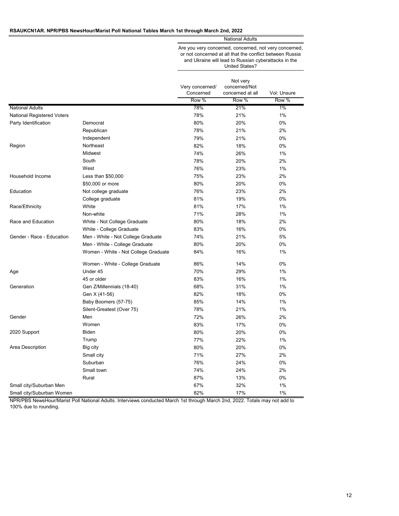#### **RSAUKCN1AR. NPR/PBS NewsHour/Marist Poll National Tables March 1st through March 2nd, 2022**

National Adults

Are you very concerned, concerned, not very concerned, or not concerned at all that the conflict between Russia and Ukraine will lead to Russian cyberattacks in the United States?

|                            |                                      | Very concerned/ | Not very<br>concerned/Not |             |
|----------------------------|--------------------------------------|-----------------|---------------------------|-------------|
|                            |                                      | Concerned       | concerned at all          | Vol: Unsure |
|                            |                                      | Row %           | Row %                     | Row %       |
| <b>National Adults</b>     |                                      | 78%             | 21%                       | 1%          |
| National Registered Voters |                                      | 78%             | 21%                       | 1%          |
| Party Identification       | Democrat                             | 80%             | 20%                       | 0%          |
|                            | Republican                           | 78%             | 21%                       | 2%          |
|                            | Independent                          | 79%             | 21%                       | 0%          |
| Region                     | Northeast                            | 82%             | 18%                       | 0%          |
|                            | Midwest                              | 74%             | 26%                       | 1%          |
|                            | South                                | 78%             | 20%                       | 2%          |
|                            | West                                 | 76%             | 23%                       | 1%          |
| Household Income           | Less than \$50,000                   | 75%             | 23%                       | 2%          |
|                            | \$50,000 or more                     | 80%             | 20%                       | 0%          |
| Education                  | Not college graduate                 | 76%             | 23%                       | 2%          |
|                            | College graduate                     | 81%             | 19%                       | 0%          |
| Race/Ethnicity             | White                                | 81%             | 17%                       | 1%          |
|                            | Non-white                            | 71%             | 28%                       | 1%          |
| Race and Education         | White - Not College Graduate         | 80%             | 18%                       | 2%          |
|                            | White - College Graduate             | 83%             | 16%                       | 0%          |
| Gender - Race - Education  | Men - White - Not College Graduate   | 74%             | 21%                       | 5%          |
|                            | Men - White - College Graduate       | 80%             | 20%                       | 0%          |
|                            | Women - White - Not College Graduate | 84%             | 16%                       | 1%          |
|                            | Women - White - College Graduate     | 86%             | 14%                       | 0%          |
| Age                        | Under 45                             | 70%             | 29%                       | 1%          |
|                            | 45 or older                          | 83%             | 16%                       | 1%          |
| Generation                 | Gen Z/Millennials (18-40)            | 68%             | 31%                       | 1%          |
|                            | Gen X (41-56)                        | 82%             | 18%                       | 0%          |
|                            | Baby Boomers (57-75)                 | 85%             | 14%                       | 1%          |
|                            | Silent-Greatest (Over 75)            | 78%             | 21%                       | 1%          |
| Gender                     | Men                                  | 72%             | 26%                       | 2%          |
|                            | Women                                | 83%             | 17%                       | 0%          |
| 2020 Support               | <b>Biden</b>                         | 80%             | 20%                       | 0%          |
|                            | Trump                                | 77%             | 22%                       | 1%          |
| Area Description           | Big city                             | 80%             | 20%                       | 0%          |
|                            | Small city                           | 71%             | 27%                       | 2%          |
|                            | Suburban                             | 76%             | 24%                       | 0%          |
|                            | Small town                           | 74%             | 24%                       | 2%          |
|                            | Rural                                | 87%             | 13%                       | 0%          |
| Small city/Suburban Men    |                                      | 67%             | 32%                       | 1%          |
| Small city/Suburban Women  |                                      | 82%             | 17%                       | 1%          |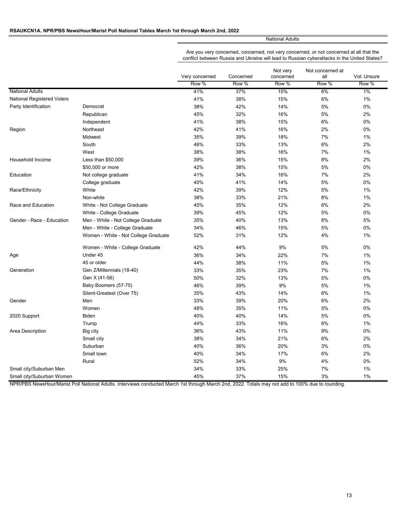### **RSAUKCN1A. NPR/PBS NewsHour/Marist Poll National Tables March 1st through March 2nd, 2022**

National Adults

Are you very concerned, concerned, not very concerned, or not concerned at all that the conflict between Russia and Ukraine will lead to Russian cyberattacks in the United States?

|                                   |                                      |                         |                    | Not very           | Not concerned at |                      |
|-----------------------------------|--------------------------------------|-------------------------|--------------------|--------------------|------------------|----------------------|
|                                   |                                      | Very concerned<br>Row % | Concerned<br>Row % | concerned<br>Row % | all<br>Row %     | Vol: Unsure<br>Row % |
|                                   |                                      |                         |                    |                    |                  |                      |
| <b>National Adults</b>            |                                      | 41%                     | 37%                | 15%                | 6%               | $1\%$                |
| <b>National Registered Voters</b> |                                      | 41%                     | 38%                | 15%                | 6%               | 1%                   |
| Party Identification              | Democrat                             | 38%                     | 42%                | 14%                | 5%               | 0%                   |
|                                   | Republican                           | 45%                     | 32%                | 16%                | 5%               | 2%                   |
|                                   | Independent                          | 41%                     | 38%                | 15%                | 6%               | 0%                   |
| Region                            | Northeast                            | 42%                     | 41%                | 16%                | 2%               | 0%                   |
|                                   | Midwest                              | 35%                     | 39%                | 18%                | 7%               | 1%                   |
|                                   | South                                | 46%                     | 33%                | 13%                | 6%               | 2%                   |
|                                   | West                                 | 38%                     | 38%                | 16%                | 7%               | $1\%$                |
| Household Income                  | Less than \$50,000                   | 39%                     | 36%                | 15%                | 8%               | 2%                   |
|                                   | \$50,000 or more                     | 42%                     | 38%                | 15%                | 5%               | 0%                   |
| Education                         | Not college graduate                 | 41%                     | 34%                | 16%                | 7%               | 2%                   |
|                                   | College graduate                     | 40%                     | 41%                | 14%                | 5%               | 0%                   |
| Race/Ethnicity                    | White                                | 42%                     | 39%                | 12%                | 5%               | 1%                   |
|                                   | Non-white                            | 38%                     | 33%                | 21%                | 8%               | $1\%$                |
| Race and Education                | White - Not College Graduate         | 45%                     | 35%                | 12%                | 6%               | 2%                   |
|                                   | White - College Graduate             | 39%                     | 45%                | 12%                | 5%               | 0%                   |
| Gender - Race - Education         | Men - White - Not College Graduate   | 35%                     | 40%                | 13%                | 8%               | 5%                   |
|                                   | Men - White - College Graduate       | 34%                     | 46%                | 15%                | 5%               | 0%                   |
|                                   | Women - White - Not College Graduate | 52%                     | 31%                | 12%                | 4%               | 1%                   |
|                                   | Women - White - College Graduate     | 42%                     | 44%                | 9%                 | 5%               | 0%                   |
| Age                               | Under 45                             | 36%                     | 34%                | 22%                | 7%               | 1%                   |
|                                   | 45 or older                          | 44%                     | 38%                | 11%                | 5%               | 1%                   |
| Generation                        | Gen Z/Millennials (18-40)            | 33%                     | 35%                | 23%                | 7%               | 1%                   |
|                                   | Gen X (41-56)                        | 50%                     | 32%                | 13%                | 5%               | 0%                   |
|                                   | Baby Boomers (57-75)                 | 46%                     | 39%                | 9%                 | 5%               | $1\%$                |
|                                   | Silent-Greatest (Over 75)            | 35%                     | 43%                | 14%                | 6%               | 1%                   |
| Gender                            | Men                                  | 33%                     | 39%                | 20%                | 6%               | 2%                   |
|                                   | Women                                | 48%                     | 35%                | 11%                | 5%               | 0%                   |
| 2020 Support                      | <b>Biden</b>                         | 40%                     | 40%                | 14%                | 5%               | 0%                   |
|                                   | Trump                                | 44%                     | 33%                | 16%                | 6%               | 1%                   |
| Area Description                  | Big city                             | 36%                     | 43%                | 11%                | 9%               | 0%                   |
|                                   | Small city                           | 38%                     | 34%                | 21%                | 6%               | 2%                   |
|                                   | Suburban                             | 40%                     | 36%                | 20%                | 3%               | 0%                   |
|                                   | Small town                           | 40%                     | 34%                | 17%                | 6%               | 2%                   |
|                                   | Rural                                | 52%                     | 34%                | 9%                 | 4%               | 0%                   |
| Small city/Suburban Men           |                                      | 34%                     | 33%                | 25%                | 7%               | 1%                   |
| Small city/Suburban Women         |                                      | 45%                     | 37%                | 15%                | 3%               | 1%                   |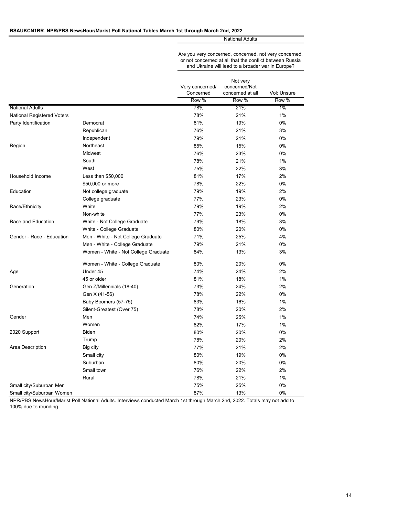#### **RSAUKCN1BR. NPR/PBS NewsHour/Marist Poll National Tables March 1st through March 2nd, 2022**

National Adults

Are you very concerned, concerned, not very concerned, or not concerned at all that the conflict between Russia and Ukraine will lead to a broader war in Europe?

|                                   |                                      | Very concerned/<br>Concerned | Not very<br>concerned/Not<br>concerned at all | Vol: Unsure |
|-----------------------------------|--------------------------------------|------------------------------|-----------------------------------------------|-------------|
|                                   |                                      | Row %                        | Row %                                         | Row %       |
| <b>National Adults</b>            |                                      | 78%                          | 21%                                           | $1\%$       |
| <b>National Registered Voters</b> |                                      | 78%                          | 21%                                           | 1%          |
| Party Identification              | Democrat                             | 81%                          | 19%                                           | 0%          |
|                                   | Republican                           | 76%                          | 21%                                           | 3%          |
|                                   | Independent                          | 79%                          | 21%                                           | 0%          |
| Region                            | Northeast                            | 85%                          | 15%                                           | 0%          |
|                                   | Midwest                              | 76%                          | 23%                                           | 0%          |
|                                   | South                                | 78%                          | 21%                                           | 1%          |
|                                   | West                                 | 75%                          | 22%                                           | 3%          |
| Household Income                  | Less than \$50,000                   | 81%                          | 17%                                           | 2%          |
|                                   | \$50,000 or more                     | 78%                          | 22%                                           | 0%          |
| Education                         | Not college graduate                 | 79%                          | 19%                                           | 2%          |
|                                   | College graduate                     | 77%                          | 23%                                           | 0%          |
| Race/Ethnicity                    | White                                | 79%                          | 19%                                           | 2%          |
|                                   | Non-white                            | 77%                          | 23%                                           | 0%          |
| Race and Education                | White - Not College Graduate         | 79%                          | 18%                                           | 3%          |
|                                   | White - College Graduate             | 80%                          | 20%                                           | 0%          |
| Gender - Race - Education         | Men - White - Not College Graduate   | 71%                          | 25%                                           | 4%          |
|                                   | Men - White - College Graduate       | 79%                          | 21%                                           | 0%          |
|                                   | Women - White - Not College Graduate | 84%                          | 13%                                           | 3%          |
|                                   | Women - White - College Graduate     | 80%                          | 20%                                           | 0%          |
| Age                               | Under 45                             | 74%                          | 24%                                           | 2%          |
|                                   | 45 or older                          | 81%                          | 18%                                           | 1%          |
| Generation                        | Gen Z/Millennials (18-40)            | 73%                          | 24%                                           | 2%          |
|                                   | Gen X (41-56)                        | 78%                          | 22%                                           | 0%          |
|                                   | Baby Boomers (57-75)                 | 83%                          | 16%                                           | 1%          |
|                                   | Silent-Greatest (Over 75)            | 78%                          | 20%                                           | 2%          |
| Gender                            | Men                                  | 74%                          | 25%                                           | 1%          |
|                                   | Women                                | 82%                          | 17%                                           | 1%          |
| 2020 Support                      | <b>Biden</b>                         | 80%                          | 20%                                           | 0%          |
|                                   | Trump                                | 78%                          | 20%                                           | 2%          |
| Area Description                  | Big city                             | 77%                          | 21%                                           | 2%          |
|                                   | Small city                           | 80%                          | 19%                                           | 0%          |
|                                   | Suburban                             | 80%                          | 20%                                           | 0%          |
|                                   | Small town                           | 76%                          | 22%                                           | 2%          |
|                                   | Rural                                | 78%                          | 21%                                           | 1%          |
| Small city/Suburban Men           |                                      | 75%                          | 25%                                           | 0%          |
| Small city/Suburban Women         |                                      | 87%                          | 13%                                           | 0%          |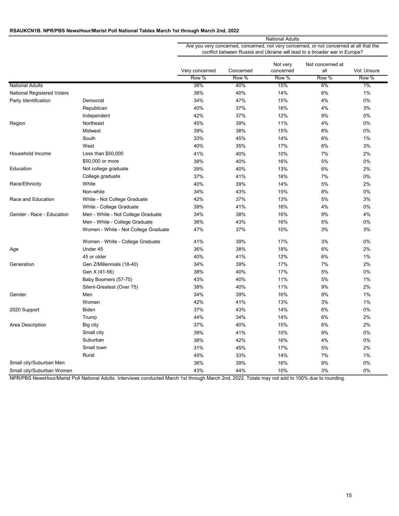# **RSAUKCN1B. NPR/PBS NewsHour/Marist Poll National Tables March 1st through March 2nd, 2022**

|                                   |                                      | <b>National Adults</b> |           |                       |                                                                                                                                                                      |             |
|-----------------------------------|--------------------------------------|------------------------|-----------|-----------------------|----------------------------------------------------------------------------------------------------------------------------------------------------------------------|-------------|
|                                   |                                      |                        |           |                       | Are you very concerned, concerned, not very concerned, or not concerned at all that the<br>conflict between Russia and Ukraine will lead to a broader war in Europe? |             |
|                                   |                                      | Very concerned         | Concerned | Not very<br>concerned | Not concerned at<br>all                                                                                                                                              | Vol: Unsure |
|                                   |                                      | Row %                  | Row %     | Row %                 | Row %                                                                                                                                                                | Row %       |
| <b>National Adults</b>            |                                      | 38%                    | 40%       | 15%                   | 6%                                                                                                                                                                   | 1%          |
| <b>National Registered Voters</b> |                                      | 38%                    | 40%       | 14%                   | 6%                                                                                                                                                                   | 1%          |
| Party Identification              | Democrat                             | 34%                    | 47%       | 15%                   | 4%                                                                                                                                                                   | 0%          |
|                                   | Republican                           | 40%                    | 37%       | 16%                   | 4%                                                                                                                                                                   | 3%          |
|                                   | Independent                          | 42%                    | 37%       | 12%                   | 9%                                                                                                                                                                   | 0%          |
| Region                            | Northeast                            | 45%                    | 39%       | 11%                   | 4%                                                                                                                                                                   | 0%          |
|                                   | Midwest                              | 39%                    | 38%       | 15%                   | 8%                                                                                                                                                                   | 0%          |
|                                   | South                                | 33%                    | 45%       | 14%                   | 6%                                                                                                                                                                   | 1%          |
|                                   | West                                 | 40%                    | 35%       | 17%                   | 6%                                                                                                                                                                   | 3%          |
| Household Income                  | Less than \$50,000                   | 41%                    | 40%       | 10%                   | 7%                                                                                                                                                                   | 2%          |
|                                   | \$50,000 or more                     | 38%                    | 40%       | 16%                   | 5%                                                                                                                                                                   | 0%          |
| Education                         | Not college graduate                 | 39%                    | 40%       | 13%                   | 6%                                                                                                                                                                   | 2%          |
|                                   | College graduate                     | 37%                    | 41%       | 16%                   | 7%                                                                                                                                                                   | 0%          |
| Race/Ethnicity                    | White                                | 40%                    | 39%       | 14%                   | 5%                                                                                                                                                                   | 2%          |
|                                   | Non-white                            | 34%                    | 43%       | 15%                   | 8%                                                                                                                                                                   | 0%          |
| Race and Education                | White - Not College Graduate         | 42%                    | 37%       | 13%                   | 5%                                                                                                                                                                   | 3%          |
|                                   | White - College Graduate             | 39%                    | 41%       | 16%                   | 4%                                                                                                                                                                   | 0%          |
| Gender - Race - Education         | Men - White - Not College Graduate   | 34%                    | 38%       | 16%                   | 9%                                                                                                                                                                   | 4%          |
|                                   | Men - White - College Graduate       | 36%                    | 43%       | 16%                   | 5%                                                                                                                                                                   | 0%          |
|                                   | Women - White - Not College Graduate | 47%                    | 37%       | 10%                   | 3%                                                                                                                                                                   | 3%          |
|                                   | Women - White - College Graduate     | 41%                    | 39%       | 17%                   | 3%                                                                                                                                                                   | 0%          |
| Age                               | Under 45                             | 36%                    | 38%       | 18%                   | 6%                                                                                                                                                                   | 2%          |
|                                   | 45 or older                          | 40%                    | 41%       | 12%                   | 6%                                                                                                                                                                   | 1%          |
| Generation                        | Gen Z/Millennials (18-40)            | 34%                    | 39%       | 17%                   | 7%                                                                                                                                                                   | 2%          |
|                                   | Gen X (41-56)                        | 38%                    | 40%       | 17%                   | 5%                                                                                                                                                                   | 0%          |
|                                   | Baby Boomers (57-75)                 | 43%                    | 40%       | 11%                   | 5%                                                                                                                                                                   | 1%          |
|                                   | Silent-Greatest (Over 75)            | 38%                    | 40%       | 11%                   | 9%                                                                                                                                                                   | 2%          |
| Gender                            | Men                                  | 34%                    | 39%       | 16%                   | 9%                                                                                                                                                                   | 1%          |
|                                   | Women                                | 42%                    | 41%       | 13%                   | 3%                                                                                                                                                                   | 1%          |
| 2020 Support                      | <b>Biden</b>                         | 37%                    | 43%       | 14%                   | 6%                                                                                                                                                                   | 0%          |
|                                   | Trump                                | 44%                    | 34%       | 14%                   | 6%                                                                                                                                                                   | 2%          |
| Area Description                  | Big city                             | 37%                    | 40%       | 15%                   | 6%                                                                                                                                                                   | 2%          |
|                                   | Small city                           | 39%                    | 41%       | 10%                   | 9%                                                                                                                                                                   | 0%          |
|                                   | Suburban                             | 38%                    | 42%       | 16%                   | 4%                                                                                                                                                                   | 0%          |
|                                   | Small town                           | 31%                    | 45%       | 17%                   | 5%                                                                                                                                                                   | 2%          |
|                                   | Rural                                | 45%                    | 33%       | 14%                   | 7%                                                                                                                                                                   | 1%          |
| Small city/Suburban Men           |                                      | 36%                    | 39%       | 16%                   | 9%                                                                                                                                                                   | 0%          |
| Small city/Suburban Women         |                                      | 43%                    | 44%       | 10%                   | 3%                                                                                                                                                                   | 0%          |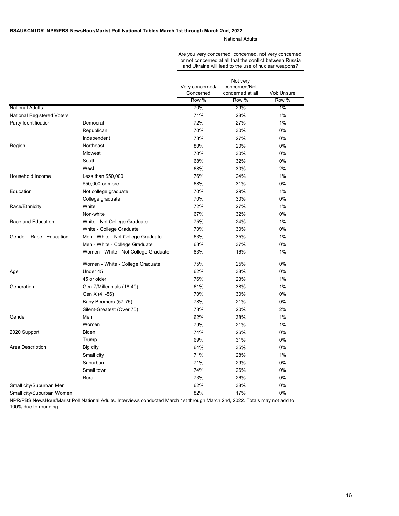#### **RSAUKCN1DR. NPR/PBS NewsHour/Marist Poll National Tables March 1st through March 2nd, 2022**

National Adults

Are you very concerned, concerned, not very concerned, or not concerned at all that the conflict between Russia and Ukraine will lead to the use of nuclear weapons?

|                            |                                      | Very concerned/<br>Concerned | Not very<br>concerned/Not<br>concerned at all | Vol: Unsure |
|----------------------------|--------------------------------------|------------------------------|-----------------------------------------------|-------------|
|                            |                                      | Row %                        | Row %                                         | Row %       |
| <b>National Adults</b>     |                                      | 70%                          | 29%                                           | 1%          |
| National Registered Voters |                                      | 71%                          | 28%                                           | 1%          |
| Party Identification       | Democrat                             | 72%                          | 27%                                           | 1%          |
|                            | Republican                           | 70%                          | 30%                                           | 0%          |
|                            | Independent                          | 73%                          | 27%                                           | 0%          |
| Region                     | Northeast                            | 80%                          | 20%                                           | 0%          |
|                            | Midwest                              | 70%                          | 30%                                           | 0%          |
|                            | South                                | 68%                          | 32%                                           | 0%          |
|                            | West                                 | 68%                          | 30%                                           | 2%          |
| Household Income           | Less than \$50,000                   | 76%                          | 24%                                           | 1%          |
|                            | \$50,000 or more                     | 68%                          | 31%                                           | 0%          |
| Education                  | Not college graduate                 | 70%                          | 29%                                           | 1%          |
|                            | College graduate                     | 70%                          | 30%                                           | 0%          |
| Race/Ethnicity             | White                                | 72%                          | 27%                                           | 1%          |
|                            | Non-white                            | 67%                          | 32%                                           | 0%          |
| Race and Education         | White - Not College Graduate         | 75%                          | 24%                                           | 1%          |
|                            | White - College Graduate             | 70%                          | 30%                                           | 0%          |
| Gender - Race - Education  | Men - White - Not College Graduate   | 63%                          | 35%                                           | 1%          |
|                            | Men - White - College Graduate       | 63%                          | 37%                                           | 0%          |
|                            | Women - White - Not College Graduate | 83%                          | 16%                                           | 1%          |
|                            | Women - White - College Graduate     | 75%                          | 25%                                           | 0%          |
| Age                        | Under 45                             | 62%                          | 38%                                           | 0%          |
|                            | 45 or older                          | 76%                          | 23%                                           | 1%          |
| Generation                 | Gen Z/Millennials (18-40)            | 61%                          | 38%                                           | 1%          |
|                            | Gen X (41-56)                        | 70%                          | 30%                                           | 0%          |
|                            | Baby Boomers (57-75)                 | 78%                          | 21%                                           | 0%          |
|                            | Silent-Greatest (Over 75)            | 78%                          | 20%                                           | 2%          |
| Gender                     | Men                                  | 62%                          | 38%                                           | 1%          |
|                            | Women                                | 79%                          | 21%                                           | 1%          |
| 2020 Support               | <b>Biden</b>                         | 74%                          | 26%                                           | 0%          |
|                            | Trump                                | 69%                          | 31%                                           | 0%          |
| Area Description           | Big city                             | 64%                          | 35%                                           | 0%          |
|                            | Small city                           | 71%                          | 28%                                           | 1%          |
|                            | Suburban                             | 71%                          | 29%                                           | 0%          |
|                            | Small town                           | 74%                          | 26%                                           | 0%          |
|                            | Rural                                | 73%                          | 26%                                           | 0%          |
| Small city/Suburban Men    |                                      | 62%                          | 38%                                           | 0%          |
| Small city/Suburban Women  |                                      | 82%                          | 17%                                           | 0%          |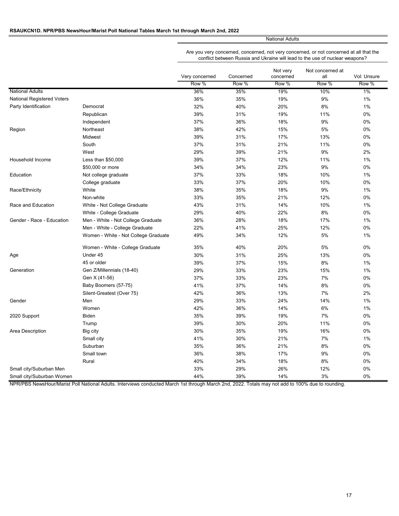## **RSAUKCN1D. NPR/PBS NewsHour/Marist Poll National Tables March 1st through March 2nd, 2022**

National Adults

Are you very concerned, concerned, not very concerned, or not concerned at all that the conflict between Russia and Ukraine will lead to the use of nuclear weapons?

|                            |                                      | Very concerned | Concerned | Not very<br>concerned | Not concerned at<br>all | Vol: Unsure |
|----------------------------|--------------------------------------|----------------|-----------|-----------------------|-------------------------|-------------|
|                            |                                      | Row %          | Row %     | Row %                 | Row %                   | Row %       |
| <b>National Adults</b>     |                                      | 36%            | 35%       | 19%                   | 10%                     | $1\%$       |
| National Registered Voters |                                      | 36%            | 35%       | 19%                   | 9%                      | 1%          |
| Party Identification       | Democrat                             | 32%            | 40%       | 20%                   | 8%                      | 1%          |
|                            | Republican                           | 39%            | 31%       | 19%                   | 11%                     | 0%          |
|                            | Independent                          | 37%            | 36%       | 18%                   | 9%                      | 0%          |
| Region                     | Northeast                            | 38%            | 42%       | 15%                   | 5%                      | 0%          |
|                            | Midwest                              | 39%            | 31%       | 17%                   | 13%                     | 0%          |
|                            | South                                | 37%            | 31%       | 21%                   | 11%                     | 0%          |
|                            | West                                 | 29%            | 39%       | 21%                   | 9%                      | 2%          |
| Household Income           | Less than \$50,000                   | 39%            | 37%       | 12%                   | 11%                     | 1%          |
|                            | \$50,000 or more                     | 34%            | 34%       | 23%                   | 9%                      | 0%          |
| Education                  | Not college graduate                 | 37%            | 33%       | 18%                   | 10%                     | 1%          |
|                            | College graduate                     | 33%            | 37%       | 20%                   | 10%                     | 0%          |
| Race/Ethnicity             | White                                | 38%            | 35%       | 18%                   | 9%                      | 1%          |
|                            | Non-white                            | 33%            | 35%       | 21%                   | 12%                     | 0%          |
| Race and Education         | White - Not College Graduate         | 43%            | 31%       | 14%                   | 10%                     | 1%          |
|                            | White - College Graduate             | 29%            | 40%       | 22%                   | 8%                      | 0%          |
| Gender - Race - Education  | Men - White - Not College Graduate   | 36%            | 28%       | 18%                   | 17%                     | 1%          |
|                            | Men - White - College Graduate       | 22%            | 41%       | 25%                   | 12%                     | 0%          |
|                            | Women - White - Not College Graduate | 49%            | 34%       | 12%                   | 5%                      | $1\%$       |
|                            | Women - White - College Graduate     | 35%            | 40%       | 20%                   | 5%                      | 0%          |
| Age                        | Under 45                             | 30%            | 31%       | 25%                   | 13%                     | 0%          |
|                            | 45 or older                          | 39%            | 37%       | 15%                   | 8%                      | 1%          |
| Generation                 | Gen Z/Millennials (18-40)            | 29%            | 33%       | 23%                   | 15%                     | 1%          |
|                            | Gen X (41-56)                        | 37%            | 33%       | 23%                   | 7%                      | 0%          |
|                            | Baby Boomers (57-75)                 | 41%            | 37%       | 14%                   | 8%                      | 0%          |
|                            | Silent-Greatest (Over 75)            | 42%            | 36%       | 13%                   | 7%                      | 2%          |
| Gender                     | Men                                  | 29%            | 33%       | 24%                   | 14%                     | 1%          |
|                            | Women                                | 42%            | 36%       | 14%                   | 6%                      | 1%          |
| 2020 Support               | Biden                                | 35%            | 39%       | 19%                   | 7%                      | 0%          |
|                            | Trump                                | 39%            | 30%       | 20%                   | 11%                     | 0%          |
| Area Description           | Big city                             | 30%            | 35%       | 19%                   | 16%                     | $0\%$       |
|                            | Small city                           | 41%            | 30%       | 21%                   | 7%                      | 1%          |
|                            | Suburban                             | 35%            | 36%       | 21%                   | 8%                      | 0%          |
|                            | Small town                           | 36%            | 38%       | 17%                   | 9%                      | 0%          |
|                            | Rural                                | 40%            | 34%       | 18%                   | 8%                      | 0%          |
| Small city/Suburban Men    |                                      | 33%            | 29%       | 26%                   | 12%                     | 0%          |
| Small city/Suburban Women  |                                      | 44%            | 39%       | 14%                   | 3%                      | 0%          |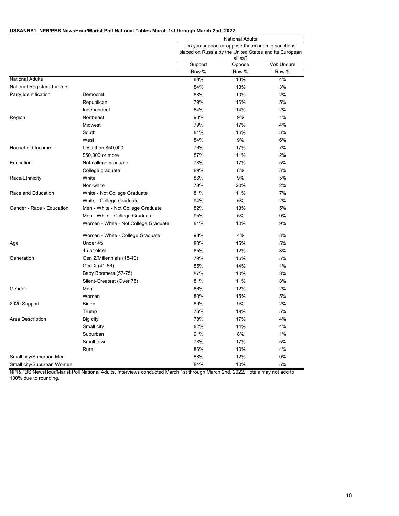# **USSANRS1. NPR/PBS NewsHour/Marist Poll National Tables March 1st through March 2nd, 2022**

|                            |                                      | National Adults                                                                                           |                 |                      |  |  |
|----------------------------|--------------------------------------|-----------------------------------------------------------------------------------------------------------|-----------------|----------------------|--|--|
|                            |                                      | Do you support or oppose the economic sanctions<br>placed on Russia by the United States and its European |                 |                      |  |  |
|                            |                                      | allies?                                                                                                   |                 |                      |  |  |
|                            |                                      |                                                                                                           |                 |                      |  |  |
|                            |                                      | Support<br>Row %                                                                                          | Oppose<br>Row % | Vol: Unsure<br>Row % |  |  |
|                            |                                      |                                                                                                           |                 |                      |  |  |
| <b>National Adults</b>     |                                      | 83%                                                                                                       | 13%             | 4%                   |  |  |
| National Registered Voters |                                      | 84%                                                                                                       | 13%             | 3%                   |  |  |
| Party Identification       | Democrat                             | 88%                                                                                                       | 10%             | 2%                   |  |  |
|                            | Republican                           | 79%                                                                                                       | 16%             | 5%                   |  |  |
|                            | Independent                          | 84%                                                                                                       | 14%             | 2%                   |  |  |
| Region                     | Northeast                            | 90%                                                                                                       | 9%              | 1%                   |  |  |
|                            | Midwest                              | 79%                                                                                                       | 17%             | 4%                   |  |  |
|                            | South                                | 81%                                                                                                       | 16%             | 3%                   |  |  |
|                            | West                                 | 84%                                                                                                       | 9%              | 6%                   |  |  |
| Household Income           | Less than \$50,000                   | 76%                                                                                                       | 17%             | 7%                   |  |  |
|                            | \$50,000 or more                     | 87%                                                                                                       | 11%             | 2%                   |  |  |
| Education                  | Not college graduate                 | 78%                                                                                                       | 17%             | 5%                   |  |  |
|                            | College graduate                     | 89%                                                                                                       | 8%              | 3%                   |  |  |
| Race/Ethnicity             | White                                | 86%                                                                                                       | 9%              | 5%                   |  |  |
|                            | Non-white                            | 78%                                                                                                       | 20%             | 2%                   |  |  |
| Race and Education         | White - Not College Graduate         | 81%                                                                                                       | 11%             | 7%                   |  |  |
|                            | White - College Graduate             | 94%                                                                                                       | 5%              | 2%                   |  |  |
| Gender - Race - Education  | Men - White - Not College Graduate   | 82%                                                                                                       | 13%             | 5%                   |  |  |
|                            | Men - White - College Graduate       | 95%                                                                                                       | 5%              | 0%                   |  |  |
|                            | Women - White - Not College Graduate | 81%                                                                                                       | 10%             | 9%                   |  |  |
|                            | Women - White - College Graduate     | 93%                                                                                                       | 4%              | 3%                   |  |  |
| Age                        | Under 45                             | 80%                                                                                                       | 15%             | 5%                   |  |  |
|                            | 45 or older                          | 85%                                                                                                       | 12%             | 3%                   |  |  |
| Generation                 | Gen Z/Millennials (18-40)            | 79%                                                                                                       | 16%             | 5%                   |  |  |
|                            | Gen X (41-56)                        | 85%                                                                                                       | 14%             | 1%                   |  |  |
|                            | Baby Boomers (57-75)                 | 87%                                                                                                       | 10%             | 3%                   |  |  |
|                            | Silent-Greatest (Over 75)            | 81%                                                                                                       | 11%             | 8%                   |  |  |
| Gender                     | Men                                  | 86%                                                                                                       | 12%             | 2%                   |  |  |
|                            | Women                                | 80%                                                                                                       | 15%             | 5%                   |  |  |
| 2020 Support               | Biden                                | 89%                                                                                                       | 9%              | 2%                   |  |  |
|                            | Trump                                | 76%                                                                                                       | 19%             | 5%                   |  |  |
| Area Description           | Big city                             | 78%                                                                                                       | 17%             | 4%                   |  |  |
|                            | Small city                           | 82%                                                                                                       | 14%             | 4%                   |  |  |
|                            | Suburban                             | 91%                                                                                                       | 8%              | 1%                   |  |  |
|                            | Small town                           |                                                                                                           |                 |                      |  |  |
|                            | Rural                                | 78%                                                                                                       | 17%             | 5%                   |  |  |
|                            |                                      | 86%                                                                                                       | 10%             | 4%                   |  |  |
| Small city/Suburban Men    |                                      | 88%                                                                                                       | 12%             | 0%                   |  |  |
| Small city/Suburban Women  |                                      | 84%                                                                                                       | 10%             | 5%                   |  |  |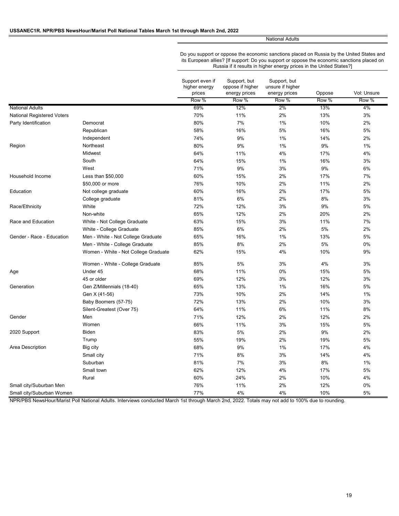National Adults

Do you support or oppose the economic sanctions placed on Russia by the United States and its European allies? [If support: Do you support or oppose the economic sanctions placed on Russia if it results in higher energy prices in the United States?]

|                                   |                                      | Support even if<br>higher energy<br>prices | Support, but<br>oppose if higher<br>energy prices | Support, but<br>unsure if higher<br>energy prices | Oppose | Vol: Unsure |
|-----------------------------------|--------------------------------------|--------------------------------------------|---------------------------------------------------|---------------------------------------------------|--------|-------------|
|                                   |                                      | Row %                                      | Row %                                             | Row %                                             | Row %  | Row %       |
| <b>National Adults</b>            |                                      | 69%                                        | 12%                                               | $2\%$                                             | 13%    | 4%          |
| <b>National Registered Voters</b> |                                      | 70%                                        | 11%                                               | 2%                                                | 13%    | 3%          |
| Party Identification              | Democrat                             | 80%                                        | 7%                                                | 1%                                                | 10%    | 2%          |
|                                   | Republican                           | 58%                                        | 16%                                               | 5%                                                | 16%    | 5%          |
|                                   | Independent                          | 74%                                        | 9%                                                | 1%                                                | 14%    | 2%          |
| Region                            | Northeast                            | 80%                                        | 9%                                                | 1%                                                | 9%     | 1%          |
|                                   | Midwest                              | 64%                                        | 11%                                               | 4%                                                | 17%    | 4%          |
|                                   | South                                | 64%                                        | 15%                                               | $1\%$                                             | 16%    | 3%          |
|                                   | West                                 | 71%                                        | 9%                                                | 3%                                                | 9%     | 6%          |
| Household Income                  | Less than \$50,000                   | 60%                                        | 15%                                               | 2%                                                | 17%    | 7%          |
|                                   | \$50,000 or more                     | 76%                                        | 10%                                               | 2%                                                | 11%    | 2%          |
| Education                         | Not college graduate                 | 60%                                        | 16%                                               | 2%                                                | 17%    | 5%          |
|                                   | College graduate                     | 81%                                        | 6%                                                | 2%                                                | 8%     | 3%          |
| Race/Ethnicity                    | White                                | 72%                                        | 12%                                               | 3%                                                | 9%     | 5%          |
|                                   | Non-white                            | 65%                                        | 12%                                               | 2%                                                | 20%    | 2%          |
| Race and Education                | White - Not College Graduate         | 63%                                        | 15%                                               | 3%                                                | 11%    | 7%          |
|                                   | White - College Graduate             | 85%                                        | 6%                                                | 2%                                                | 5%     | 2%          |
| Gender - Race - Education         | Men - White - Not College Graduate   | 65%                                        | 16%                                               | 1%                                                | 13%    | 5%          |
|                                   | Men - White - College Graduate       | 85%                                        | 8%                                                | 2%                                                | 5%     | 0%          |
|                                   | Women - White - Not College Graduate | 62%                                        | 15%                                               | 4%                                                | 10%    | 9%          |
|                                   | Women - White - College Graduate     | 85%                                        | 5%                                                | 3%                                                | 4%     | 3%          |
| Age                               | Under 45                             | 68%                                        | 11%                                               | 0%                                                | 15%    | 5%          |
|                                   | 45 or older                          | 69%                                        | 12%                                               | 3%                                                | 12%    | 3%          |
| Generation                        | Gen Z/Millennials (18-40)            | 65%                                        | 13%                                               | 1%                                                | 16%    | 5%          |
|                                   | Gen X (41-56)                        | 73%                                        | 10%                                               | 2%                                                | 14%    | 1%          |
|                                   | Baby Boomers (57-75)                 | 72%                                        | 13%                                               | 2%                                                | 10%    | 3%          |
|                                   | Silent-Greatest (Over 75)            | 64%                                        | 11%                                               | 6%                                                | 11%    | 8%          |
| Gender                            | Men                                  | 71%                                        | 12%                                               | 2%                                                | 12%    | 2%          |
|                                   | Women                                | 66%                                        | 11%                                               | 3%                                                | 15%    | 5%          |
| 2020 Support                      | <b>Biden</b>                         | 83%                                        | 5%                                                | 2%                                                | 9%     | 2%          |
|                                   | Trump                                | 55%                                        | 19%                                               | 2%                                                | 19%    | 5%          |
| Area Description                  | Big city                             | 68%                                        | 9%                                                | 1%                                                | 17%    | 4%          |
|                                   | Small city                           | 71%                                        | 8%                                                | 3%                                                | 14%    | 4%          |
|                                   | Suburban                             | 81%                                        | 7%                                                | 3%                                                | 8%     | 1%          |
|                                   | Small town                           | 62%                                        | 12%                                               | 4%                                                | 17%    | 5%          |
|                                   | Rural                                | 60%                                        | 24%                                               | 2%                                                | 10%    | 4%          |
| Small city/Suburban Men           |                                      | 76%                                        | 11%                                               | 2%                                                | 12%    | 0%          |
| Small city/Suburban Women         |                                      | 77%                                        | 4%                                                | 4%                                                | 10%    | 5%          |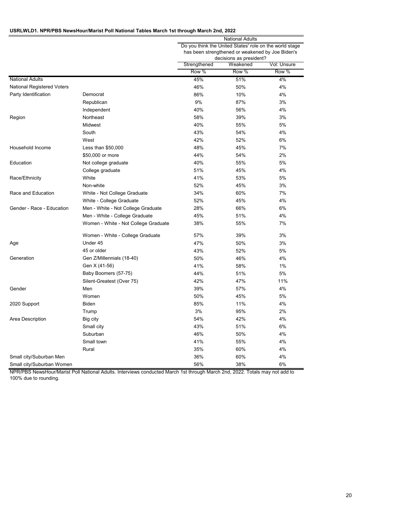## **USRLWLD1. NPR/PBS NewsHour/Marist Poll National Tables March 1st through March 2nd, 2022**

|                                   |                                      | <b>National Adults</b>                                                                                                                 |       |       |  |
|-----------------------------------|--------------------------------------|----------------------------------------------------------------------------------------------------------------------------------------|-------|-------|--|
|                                   |                                      | Do you think the United States' role on the world stage<br>has been strengthened or weakened by Joe Biden's<br>decisions as president? |       |       |  |
|                                   |                                      |                                                                                                                                        |       |       |  |
|                                   |                                      | Strengthened<br>Weakened<br>Vol: Unsure                                                                                                |       |       |  |
|                                   |                                      | Row %                                                                                                                                  | Row % | Row % |  |
| <b>National Adults</b>            |                                      | 45%                                                                                                                                    | 51%   | 4%    |  |
| <b>National Registered Voters</b> |                                      | 46%                                                                                                                                    | 50%   | 4%    |  |
| Party Identification              | Democrat                             | 86%                                                                                                                                    | 10%   | 4%    |  |
|                                   | Republican                           | 9%                                                                                                                                     | 87%   | 3%    |  |
|                                   | Independent                          | 40%                                                                                                                                    | 56%   | 4%    |  |
| Region                            | Northeast                            | 58%                                                                                                                                    | 39%   | 3%    |  |
|                                   | Midwest                              | 40%                                                                                                                                    | 55%   | 5%    |  |
|                                   | South                                | 43%                                                                                                                                    | 54%   | 4%    |  |
|                                   | West                                 | 42%                                                                                                                                    | 52%   | 6%    |  |
| Household Income                  | Less than \$50,000                   | 48%                                                                                                                                    | 45%   | 7%    |  |
|                                   | \$50,000 or more                     | 44%                                                                                                                                    | 54%   | 2%    |  |
| Education                         | Not college graduate                 | 40%                                                                                                                                    | 55%   | 5%    |  |
|                                   | College graduate                     | 51%                                                                                                                                    | 45%   | 4%    |  |
| Race/Ethnicity                    | White                                | 41%                                                                                                                                    | 53%   | 5%    |  |
|                                   | Non-white                            | 52%                                                                                                                                    | 45%   | 3%    |  |
| Race and Education                | White - Not College Graduate         | 34%                                                                                                                                    | 60%   | 7%    |  |
|                                   | White - College Graduate             | 52%                                                                                                                                    | 45%   | 4%    |  |
| Gender - Race - Education         | Men - White - Not College Graduate   | 28%                                                                                                                                    | 66%   | 6%    |  |
|                                   | Men - White - College Graduate       | 45%                                                                                                                                    | 51%   | 4%    |  |
|                                   | Women - White - Not College Graduate | 38%                                                                                                                                    | 55%   | 7%    |  |
|                                   | Women - White - College Graduate     | 57%                                                                                                                                    | 39%   | 3%    |  |
| Age                               | Under 45                             | 47%                                                                                                                                    | 50%   | 3%    |  |
|                                   | 45 or older                          | 43%                                                                                                                                    | 52%   | 5%    |  |
| Generation                        | Gen Z/Millennials (18-40)            | 50%                                                                                                                                    | 46%   | 4%    |  |
|                                   | Gen X (41-56)                        | 41%                                                                                                                                    | 58%   | 1%    |  |
|                                   | Baby Boomers (57-75)                 | 44%                                                                                                                                    | 51%   | 5%    |  |
|                                   | Silent-Greatest (Over 75)            | 42%                                                                                                                                    | 47%   | 11%   |  |
| Gender                            | Men                                  | 39%                                                                                                                                    | 57%   | 4%    |  |
|                                   | Women                                | 50%                                                                                                                                    | 45%   | 5%    |  |
| 2020 Support                      | <b>Biden</b>                         | 85%                                                                                                                                    | 11%   | 4%    |  |
|                                   | Trump                                | 3%                                                                                                                                     | 95%   | 2%    |  |
| Area Description                  | Big city                             | 54%                                                                                                                                    | 42%   | 4%    |  |
|                                   | Small city                           | 43%                                                                                                                                    | 51%   | 6%    |  |
|                                   | Suburban                             | 46%                                                                                                                                    | 50%   | 4%    |  |
|                                   | Small town                           | 41%                                                                                                                                    | 55%   | 4%    |  |
|                                   | Rural                                | 35%                                                                                                                                    | 60%   | 4%    |  |
| Small city/Suburban Men           |                                      | 36%                                                                                                                                    | 60%   | 4%    |  |
| Small city/Suburban Women         |                                      | 56%                                                                                                                                    | 38%   | 6%    |  |